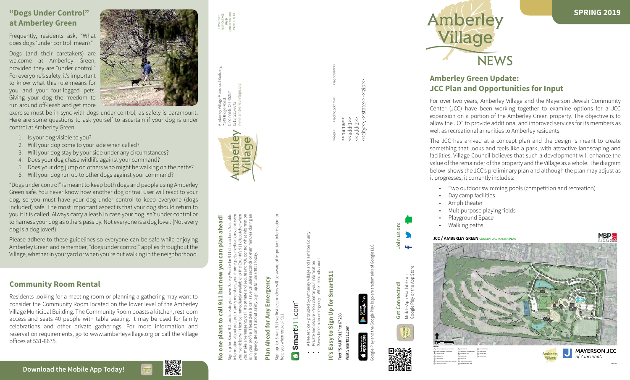PRSRT STD US POSTAGE PRSRT STD<br>US POSTAGE<br>**PAID**<br>INCINNATI OH<br>PERMIT 4343 CINCINNATI OH PERMIT 4343



<<oel>> <<sckndpcknm>> <<sqncnmbr>



Amberley Village Municipal Building 7149 Ridge Road Cincinnati, OH 45237 (513) 531-8675 www.amberleyvillage.org



**Download the Mobile App Today!**





ön: **Join us on:** oin us





























# **Amberley Green Update: JCC Plan and Opportunities for Input**

For over two years, Amberley Village and the Mayerson Jewish Community Center (JCC) have been working together to examine options for a JCC expansion on a portion of the Amberley Green property. The objective is to allow the JCC to provide additional and improved services for its members as well as recreational amenities to Amberley residents.

# **No one plans to call 911 but now you can plan ahead!** plans to call 911 but now you can plan ahead

Sign up for Smart911 and create your own Safety Profile for 911 dispatchers. Valuable information about you, your family members, your home, pets, medications, and even your vehicles will then be immediately available to the County's 911 dispatcher when you make an emergency call. It's private and secure and YOU control what information is in your profile. These details can save valuable seconds or even minutes during an emergency. Be smart about safety. Sign up for Smart911 today.  $\mathbb{B}^{\mathbb{Q}}$ 

The JCC has arrived at a concept plan and the design is meant to create something that looks and feels like a park, with attractive landscaping and facilities. Village Council believes that such a development will enhance the value of the remainder of the property and the Village as a whole. The diagram below shows the JCC's preliminary plan and although the plan may adjust as it progresses, it currently includes:

# **Plan Ahead for Any Emergency** Plan Ahead for Any Emergency

Sign up for Smart 911 so first responders will be aware of important information to r Smart 911 so first r<br>/hen you call 911. help you when you call 911. ign up for :<br>elp you wh

# Smart911com  $\bullet$

- A free service provided by Amberley Village and Hamilton County ded by
- Private and secure You control your information bue<br>B
- Saves time in an emergency When seconds count  $\overline{\overline{z}}$

# Smart911 **It's Easy to Sign Up for Smart911** Sign Up for It's Easy to

to 67283 Text "SMART911" to 67283 Visit Smart911.com "SMART911" nart911.cc Visit Sm

**Coogle Play CApp Store** 



• Two outdoor swimming pools (competition and recreation)

- Day camp facilities
	-
- Multipurpose playing fields
- Playground Space
- 
- Amphitheater
- 
- -
- Walking paths

<<name>> <<addr1>> <<addr2>>

<name>>

<sdqupe> saddr2>> <<city>>, <<state>> <<zip>>

<city

Google Play and the Google Play logo are trademarks of Google LLC.





## **"Dogs Under Control" at Amberley Green**

Frequently, residents ask, "What does dogs 'under control' mean?"

Dogs (and their caretakers) are welcome at Amberley Green, provided they are "under control." For everyone's safety, it's important to know what this rule means for you and your four-legged pets. Giving your dog the freedom to run around off-leash and get more

exercise must be in sync with dogs under control, as safety is paramount. Here are some questions to ask yourself to ascertain if your dog is under control at Amberley Green.

- 1. Is your dog visible to you?
- 2. Will your dog come to your side when called?
- 3. Will your dog stay by your side under any circumstances?
- 4. Does your dog chase wildlife against your command?
- 5. Does your dog jump on others who might be walking on the paths?
- 6. Will your dog run up to other dogs against your command?

"Dogs under control" is meant to keep both dogs and people using Amberley Green safe. You never know how another dog or trail user will react to your dog, so you must have your dog under control to keep everyone (dogs included) safe. The most important aspect is that your dog should return to you if it is called. Always carry a leash in case your dog isn't under control or to harness your dog as others pass by. Not everyone is a dog lover. (Not every dog is a dog lover!)

Please adhere to these guidelines so everyone can be safe while enjoying Amberley Green and remember, "dogs under control" applies throughout the Village, whether in your yard or when you're out walking in the neighborhood.



**14 CONTINUOUS RIGHT TURN**



Building



# **Community Room Rental**

Residents looking for a meeting room or planning a gathering may want to consider the Community Room located on the lower level of the Amberley Village Municipal Building. The Community Room boasts a kitchen, restroom access and seats 40 people with table seating. It may be used for family celebrations and other private gatherings. For more information and reservation requirements, go to www.amberleyvillage.org or call the Village offices at 531-8675.